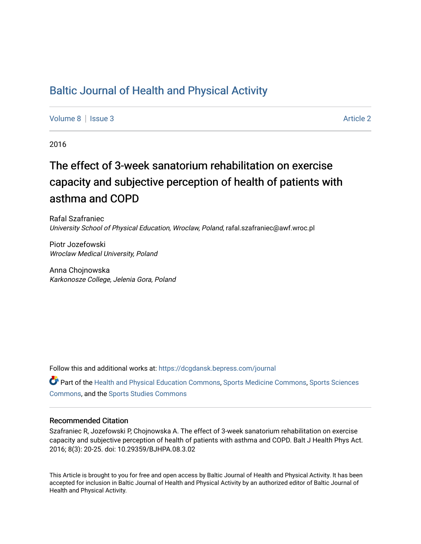## [Baltic Journal of Health and Physical Activity](https://dcgdansk.bepress.com/journal)

[Volume 8](https://dcgdansk.bepress.com/journal/vol8) | [Issue 3](https://dcgdansk.bepress.com/journal/vol8/iss3) Article 2

2016

# The effect of 3-week sanatorium rehabilitation on exercise capacity and subjective perception of health of patients with asthma and COPD

Rafal Szafraniec University School of Physical Education, Wroclaw, Poland, rafal.szafraniec@awf.wroc.pl

Piotr Jozefowski Wroclaw Medical University, Poland

Anna Chojnowska Karkonosze College, Jelenia Gora, Poland

Follow this and additional works at: [https://dcgdansk.bepress.com/journal](https://dcgdansk.bepress.com/journal?utm_source=dcgdansk.bepress.com%2Fjournal%2Fvol8%2Fiss3%2F2&utm_medium=PDF&utm_campaign=PDFCoverPages)

Part of the [Health and Physical Education Commons](http://network.bepress.com/hgg/discipline/1327?utm_source=dcgdansk.bepress.com%2Fjournal%2Fvol8%2Fiss3%2F2&utm_medium=PDF&utm_campaign=PDFCoverPages), [Sports Medicine Commons,](http://network.bepress.com/hgg/discipline/1331?utm_source=dcgdansk.bepress.com%2Fjournal%2Fvol8%2Fiss3%2F2&utm_medium=PDF&utm_campaign=PDFCoverPages) [Sports Sciences](http://network.bepress.com/hgg/discipline/759?utm_source=dcgdansk.bepress.com%2Fjournal%2Fvol8%2Fiss3%2F2&utm_medium=PDF&utm_campaign=PDFCoverPages) [Commons](http://network.bepress.com/hgg/discipline/759?utm_source=dcgdansk.bepress.com%2Fjournal%2Fvol8%2Fiss3%2F2&utm_medium=PDF&utm_campaign=PDFCoverPages), and the [Sports Studies Commons](http://network.bepress.com/hgg/discipline/1198?utm_source=dcgdansk.bepress.com%2Fjournal%2Fvol8%2Fiss3%2F2&utm_medium=PDF&utm_campaign=PDFCoverPages) 

#### Recommended Citation

Szafraniec R, Jozefowski P, Chojnowska A. The effect of 3-week sanatorium rehabilitation on exercise capacity and subjective perception of health of patients with asthma and COPD. Balt J Health Phys Act. 2016; 8(3): 20-25. doi: 10.29359/BJHPA.08.3.02

This Article is brought to you for free and open access by Baltic Journal of Health and Physical Activity. It has been accepted for inclusion in Baltic Journal of Health and Physical Activity by an authorized editor of Baltic Journal of Health and Physical Activity.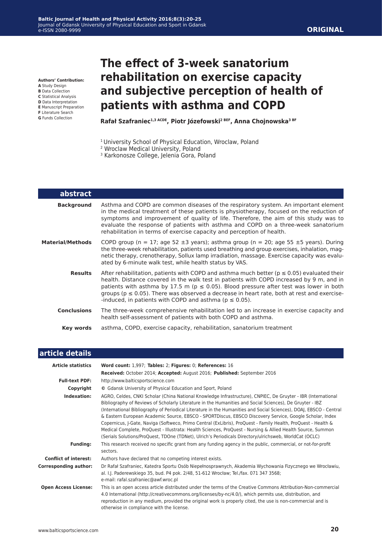**Authors' Contribution:**

- **A** Study Design
- **B** Data Collection **C** Statistical Analysis
- **D** Data Interpretation
- **E** Manuscript Preparation
- **F** Literature Search
- **G** Funds Collection

## **The effect of 3-week sanatorium rehabilitation on exercise capacity and subjective perception of health of patients with asthma and COPD**

**Rafał Szafraniec1,3 ACDE, Piotr Józefowski2 BEF, Anna Chojnowska3 BF**

- <sup>1</sup> University School of Physical Education, Wroclaw, Poland
- 2 Wroclaw Medical University, Poland
- <sup>3</sup> Karkonosze College, Jelenia Gora, Poland

| <b>abstract</b>    |                                                                                                                                                                                                                                                                                                                                                                                                                                                                  |
|--------------------|------------------------------------------------------------------------------------------------------------------------------------------------------------------------------------------------------------------------------------------------------------------------------------------------------------------------------------------------------------------------------------------------------------------------------------------------------------------|
| <b>Background</b>  | Asthma and COPD are common diseases of the respiratory system. An important element<br>in the medical treatment of these patients is physiotherapy, focused on the reduction of<br>symptoms and improvement of quality of life. Therefore, the aim of this study was to<br>evaluate the response of patients with asthma and COPD on a three-week sanatorium<br>rehabilitation in terms of exercise capacity and perception of health.                           |
| Material/Methods   | COPD group (n = 17; age 52 $\pm$ 3 years); asthma group (n = 20; age 55 $\pm$ 5 years). During<br>the three-week rehabilitation, patients used breathing and group exercises, inhalation, mag-<br>netic therapy, crenotherapy, Sollux lamp irradiation, massage. Exercise capacity was evalu-<br>ated by 6-minute walk test, while health status by VAS.                                                                                                         |
| <b>Results</b>     | After rehabilitation, patients with COPD and asthma much better ( $p \le 0.05$ ) evaluated their<br>health. Distance covered in the walk test in patients with COPD increased by 9 m, and in<br>patients with asthma by 17.5 m ( $p \le 0.05$ ). Blood pressure after test was lower in both<br>groups ( $p \le 0.05$ ). There was observed a decrease in heart rate, both at rest and exercise-<br>-induced, in patients with COPD and asthma ( $p \le 0.05$ ). |
| <b>Conclusions</b> | The three-week comprehensive rehabilitation led to an increase in exercise capacity and<br>health self-assessment of patients with both COPD and asthma.                                                                                                                                                                                                                                                                                                         |
| Key words          | asthma, COPD, exercise capacity, rehabilitation, sanatorium treatment                                                                                                                                                                                                                                                                                                                                                                                            |

| article details              |                                                                                                                                                                                                                                                                                                                                                                                                                                                                                                                                                                                                                                                                                                                                                                                                      |  |  |  |
|------------------------------|------------------------------------------------------------------------------------------------------------------------------------------------------------------------------------------------------------------------------------------------------------------------------------------------------------------------------------------------------------------------------------------------------------------------------------------------------------------------------------------------------------------------------------------------------------------------------------------------------------------------------------------------------------------------------------------------------------------------------------------------------------------------------------------------------|--|--|--|
| <b>Article statistics</b>    | Word count: 1,997; Tables: 2; Figures: 0; References: 16                                                                                                                                                                                                                                                                                                                                                                                                                                                                                                                                                                                                                                                                                                                                             |  |  |  |
|                              | Received: October 2014; Accepted: August 2016; Published: September 2016                                                                                                                                                                                                                                                                                                                                                                                                                                                                                                                                                                                                                                                                                                                             |  |  |  |
| <b>Full-text PDF:</b>        | http://www.balticsportscience.com                                                                                                                                                                                                                                                                                                                                                                                                                                                                                                                                                                                                                                                                                                                                                                    |  |  |  |
| Copyright                    | © Gdansk University of Physical Education and Sport, Poland                                                                                                                                                                                                                                                                                                                                                                                                                                                                                                                                                                                                                                                                                                                                          |  |  |  |
| Indexation:                  | AGRO, Celdes, CNKI Scholar (China National Knowledge Infrastructure), CNPIEC, De Gruyter - IBR (International<br>Bibliography of Reviews of Scholarly Literature in the Humanities and Social Sciences), De Gruyter - IBZ<br>(International Bibliography of Periodical Literature in the Humanities and Social Sciences), DOAJ, EBSCO - Central<br>& Eastern European Academic Source, EBSCO - SPORTDiscus, EBSCO Discovery Service, Google Scholar, Index<br>Copernicus, J-Gate, Naviga (Softweco, Primo Central (ExLibris), ProQuest - Family Health, ProQuest - Health &<br>Medical Complete, ProQuest - Illustrata: Health Sciences, ProQuest - Nursing & Allied Health Source, Summon<br>(Serials Solutions/ProQuest, TDOne (TDNet), Ulrich's Periodicals Directory/ulrichsweb, WorldCat (OCLC) |  |  |  |
| <b>Funding:</b>              | This research received no specific grant from any funding agency in the public, commercial, or not-for-profit<br>sectors.                                                                                                                                                                                                                                                                                                                                                                                                                                                                                                                                                                                                                                                                            |  |  |  |
| <b>Conflict of interest:</b> | Authors have declared that no competing interest exists.                                                                                                                                                                                                                                                                                                                                                                                                                                                                                                                                                                                                                                                                                                                                             |  |  |  |
| <b>Corresponding author:</b> | Dr Rafał Szafraniec, Katedra Sportu Osób Niepełnosprawnych, Akademia Wychowania Fizycznego we Wrocławiu,<br>al. I.J. Paderewskiego 35, bud. P4 pok. 2/48, 51-612 Wrocław; Tel./fax. 071 347 3568;<br>e-mail: rafal.szafraniec@awf.wroc.pl                                                                                                                                                                                                                                                                                                                                                                                                                                                                                                                                                            |  |  |  |
| <b>Open Access License:</b>  | This is an open access article distributed under the terms of the Creative Commons Attribution-Non-commercial<br>4.0 International (http://creativecommons.org/licenses/by-nc/4.0/), which permits use, distribution, and<br>reproduction in any medium, provided the original work is properly cited, the use is non-commercial and is<br>otherwise in compliance with the license.                                                                                                                                                                                                                                                                                                                                                                                                                 |  |  |  |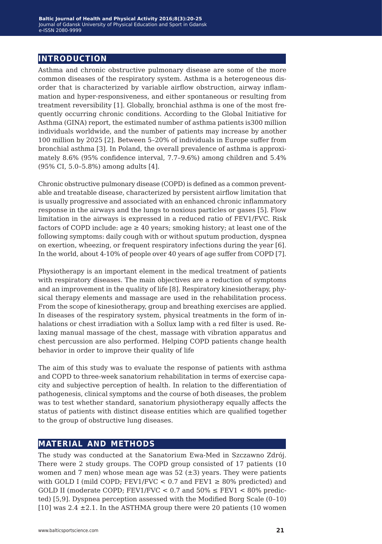## **introduction**

Asthma and chronic obstructive pulmonary disease are some of the more common diseases of the respiratory system. Asthma is a heterogeneous disorder that is characterized by variable airflow obstruction, airway inflammation and hyper-responsiveness, and either spontaneous or resulting from treatment reversibility [1]. Globally, bronchial asthma is one of the most frequently occurring chronic conditions. According to the Global Initiative for Asthma (GINA) report, the estimated number of asthma patients is300 million individuals worldwide, and the number of patients may increase by another 100 million by 2025 [2]. Between 5–20% of individuals in Europe suffer from bronchial asthma [3]. In Poland, the overall prevalence of asthma is approximately 8.6% (95% confidence interval, 7.7–9.6%) among children and 5.4% (95% CI, 5.0–5.8%) among adults [4].

Chronic obstructive pulmonary disease (COPD) is defined as a common preventable and treatable disease, characterized by persistent airflow limitation that is usually progressive and associated with an enhanced chronic inflammatory response in the airways and the lungs to noxious particles or gases [5]. Flow limitation in the airways is expressed in a reduced ratio of FEV1/FVC. Risk factors of COPD include:  $age \ge 40$  years; smoking history; at least one of the following symptoms: daily cough with or without sputum production, dyspnea on exertion, wheezing, or frequent respiratory infections during the year [6]. In the world, about 4-10% of people over 40 years of age suffer from COPD [7].

Physiotherapy is an important element in the medical treatment of patients with respiratory diseases. The main objectives are a reduction of symptoms and an improvement in the quality of life [8]. Respiratory kinesiotherapy, physical therapy elements and massage are used in the rehabilitation process. From the scope of kinesiotherapy, group and breathing exercises are applied. In diseases of the respiratory system, physical treatments in the form of inhalations or chest irradiation with a Sollux lamp with a red filter is used. Relaxing manual massage of the chest, massage with vibration apparatus and chest percussion are also performed. Helping COPD patients change health behavior in order to improve their quality of life

The aim of this study was to evaluate the response of patients with asthma and COPD to three-week sanatorium rehabilitation in terms of exercise capacity and subjective perception of health. In relation to the differentiation of pathogenesis, clinical symptoms and the course of both diseases, the problem was to test whether standard, sanatorium physiotherapy equally affects the status of patients with distinct disease entities which are qualified together to the group of obstructive lung diseases.

## **material and methods**

The study was conducted at the Sanatorium Ewa-Med in Szczawno Zdrój. There were 2 study groups. The COPD group consisted of 17 patients (10 women and 7 men) whose mean age was  $52 \ (\pm 3)$  years. They were patients with GOLD I (mild COPD; FEV1/FVC < 0.7 and FEV1  $\geq$  80% predicted) and GOLD II (moderate COPD; FEV1/FVC  $<$  0.7 and 50%  $\leq$  FEV1  $<$  80% predicted) [5,9]. Dyspnea perception assessed with the Modified Borg Scale (0–10) [10] was  $2.4 \pm 2.1$ . In the ASTHMA group there were 20 patients (10 women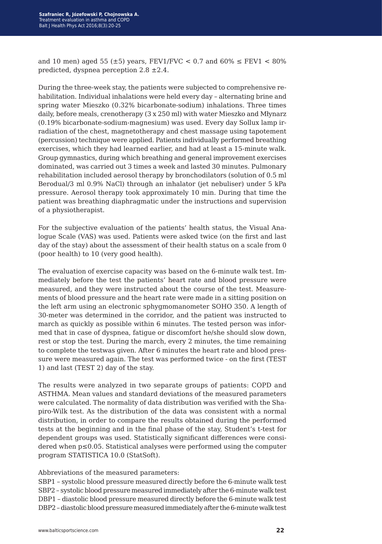and 10 men) aged 55 ( $\pm$ 5) years, FEV1/FVC < 0.7 and 60%  $\leq$  FEV1 < 80% predicted, dyspnea perception 2.8 ±2.4.

During the three-week stay, the patients were subjected to comprehensive rehabilitation. Individual inhalations were held every day – alternating brine and spring water Mieszko (0.32% bicarbonate-sodium) inhalations. Three times daily, before meals, crenotherapy (3 x 250 ml) with water Mieszko and Młynarz (0.19% bicarbonate-sodium-magnesium) was used. Every day Sollux lamp irradiation of the chest, magnetotherapy and chest massage using tapotement (percussion) technique were applied. Patients individually performed breathing exercises, which they had learned earlier, and had at least a 15-minute walk. Group gymnastics, during which breathing and general improvement exercises dominated, was carried out 3 times a week and lasted 30 minutes. Pulmonary rehabilitation included aerosol therapy by bronchodilators (solution of 0.5 ml Berodual/3 ml 0.9% NaCl) through an inhalator (jet nebuliser) under 5 kPa pressure. Aerosol therapy took approximately 10 min. During that time the patient was breathing diaphragmatic under the instructions and supervision of a physiotherapist.

For the subjective evaluation of the patients' health status, the Visual Analogue Scale (VAS) was used. Patients were asked twice (on the first and last day of the stay) about the assessment of their health status on a scale from 0 (poor health) to 10 (very good health).

The evaluation of exercise capacity was based on the 6-minute walk test. Immediately before the test the patients' heart rate and blood pressure were measured, and they were instructed about the course of the test. Measurements of blood pressure and the heart rate were made in a sitting position on the left arm using an electronic sphygmomanometer SOHO 350. A length of 30-meter was determined in the corridor, and the patient was instructed to march as quickly as possible within 6 minutes. The tested person was informed that in case of dyspnea, fatigue or discomfort he/she should slow down, rest or stop the test. During the march, every 2 minutes, the time remaining to complete the testwas given. After 6 minutes the heart rate and blood pressure were measured again. The test was performed twice - on the first (TEST 1) and last (TEST 2) day of the stay.

The results were analyzed in two separate groups of patients: COPD and ASTHMA. Mean values and standard deviations of the measured parameters were calculated. The normality of data distribution was verified with the Shapiro-Wilk test. As the distribution of the data was consistent with a normal distribution, in order to compare the results obtained during the performed tests at the beginning and in the final phase of the stay, Student's t-test for dependent groups was used. Statistically significant differences were considered when p≤0.05. Statistical analyses were performed using the computer program STATISTICA 10.0 (StatSoft).

#### Abbreviations of the measured parameters:

SBP1 – systolic blood pressure measured directly before the 6-minute walk test SBP2 – systolic blood pressure measured immediately after the 6-minute walk test DBP1 – diastolic blood pressure measured directly before the 6-minute walk test DBP2 – diastolic blood pressure measured immediately after the 6-minute walk test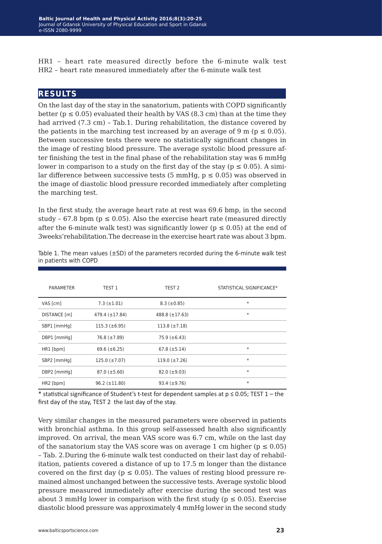HR1 – heart rate measured directly before the 6-minute walk test HR2 – heart rate measured immediately after the 6-minute walk test

## **results**

On the last day of the stay in the sanatorium, patients with COPD significantly better ( $p \le 0.05$ ) evaluated their health by VAS (8.3 cm) than at the time they had arrived (7.3 cm) – Tab.1. During rehabilitation, the distance covered by the patients in the marching test increased by an average of 9 m ( $p \le 0.05$ ). Between successive tests there were no statistically significant changes in the image of resting blood pressure. The average systolic blood pressure after finishing the test in the final phase of the rehabilitation stay was 6 mmHg lower in comparison to a study on the first day of the stay ( $p \le 0.05$ ). A similar difference between successive tests (5 mmHg,  $p \le 0.05$ ) was observed in the image of diastolic blood pressure recorded immediately after completing the marching test.

In the first study, the average heart rate at rest was 69.6 bmp, in the second study – 67.8 bpm ( $p \le 0.05$ ). Also the exercise heart rate (measured directly after the 6-minute walk test) was significantly lower ( $p \le 0.05$ ) at the end of 3weeks'rehabilitation.The decrease in the exercise heart rate was about 3 bpm.

| <b>PARAMETER</b> | TEST 1               | TEST <sub>2</sub>   | STATISTICAL SIGNIFICANCE* |
|------------------|----------------------|---------------------|---------------------------|
| VAS [cm]         | $7.3 (\pm 1.01)$     | $8.3 \ (\pm 0.85)$  | $\ast$                    |
| DISTANCE [m]     | $479.4 (\pm 17.84)$  | $488.8 (\pm 17.63)$ | $\ast$                    |
| SBP1 [mmHq]      | $115.3 (\pm 6.95)$   | $113.8 (\pm 7.18)$  |                           |
| DBP1 [mmHq]      | $76.8 (\pm 7.89)$    | $75.9 (\pm 6.43)$   |                           |
| HR1 [bpm]        | 69.6 $(\pm 6.25)$    | $67.8 (\pm 5.14)$   | $\ast$                    |
| SBP2 [mmHq]      | $125.0 (\pm 7.07)$   | $119.0 (\pm 7.26)$  | $\ast$                    |
| DBP2 [mmHq]      | $87.0 \ (\pm 5.60)$  | $82.0 (\pm 9.03)$   | $\ast$                    |
| HR2 [bpm]        | $96.2 \ (\pm 11.80)$ | $93.4 (\pm 9.76)$   | $\ast$                    |

Table 1. The mean values  $(\pm SD)$  of the parameters recorded during the 6-minute walk test in patients with COPD

\* statistical significance of Student's t-test for dependent samples at  $p \le 0.05$ ; TEST 1 – the first day of the stay, TEST 2 the last day of the stay.

Very similar changes in the measured parameters were observed in patients with bronchial asthma. In this group self-assessed health also significantly improved. On arrival, the mean VAS score was 6.7 cm, while on the last day of the sanatorium stay the VAS score was on average 1 cm higher ( $p \le 0.05$ ) – Tab. 2.During the 6-minute walk test conducted on their last day of rehabilitation, patients covered a distance of up to 17.5 m longer than the distance covered on the first day ( $p \le 0.05$ ). The values of resting blood pressure remained almost unchanged between the successive tests. Average systolic blood pressure measured immediately after exercise during the second test was about 3 mmHg lower in comparison with the first study ( $p \le 0.05$ ). Exercise diastolic blood pressure was approximately 4 mmHg lower in the second study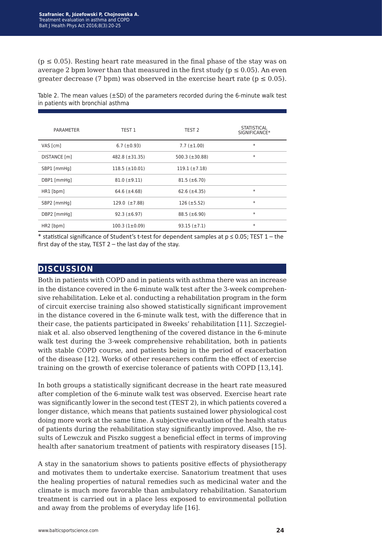$(p \le 0.05)$ . Resting heart rate measured in the final phase of the stay was on average 2 bpm lower than that measured in the first study ( $p \le 0.05$ ). An even qreater decrease (7 bpm) was observed in the exercise heart rate ( $p \le 0.05$ ).

| PARAMETER    | TEST 1               | TEST <sub>2</sub>   | <b>STATISTICAL</b><br>SIGNIFICANCE* |
|--------------|----------------------|---------------------|-------------------------------------|
| VAS [cm]     | 6.7 $(\pm 0.93)$     | $7.7 (\pm 1.00)$    | $\ast$                              |
| DISTANCE [m] | $482.8 (\pm 31.35)$  | 500.3 $(\pm 30.88)$ | $\ast$                              |
| SBP1 [mmHq]  | $118.5 (\pm 10.01)$  | $119.1 (\pm 7.18)$  |                                     |
| DBP1 [mmHq]  | $81.0 \ (\pm 9.11)$  | $81.5 (\pm 6.70)$   |                                     |
| HR1 [bpm]    | 64.6 $(\pm 4.68)$    | $62.6 (\pm 4.35)$   | $\ast$                              |
| SBP2 [mmHq]  | $129.0 \ (\pm 7.88)$ | $126 (\pm 5.52)$    | $\ast$                              |
| DBP2 [mmHq]  | $92.3 (\pm 6.97)$    | $88.5 (\pm 6.90)$   | $\ast$                              |
| HR2 [bpm]    | $100.3(1\pm0.09)$    | $93.15 (\pm 7.1)$   | $\ast$                              |

Table 2. The mean values  $(\pm SD)$  of the parameters recorded during the 6-minute walk test in patients with bronchial asthma

\* statistical significance of Student's t-test for dependent samples at p ≤ 0.05; TEST 1 – the first day of the stay, TEST 2 – the last day of the stay.

## **discussion**

Both in patients with COPD and in patients with asthma there was an increase in the distance covered in the 6-minute walk test after the 3-week comprehensive rehabilitation. Leke et al. conducting a rehabilitation program in the form of circuit exercise training also showed statistically significant improvement in the distance covered in the 6-minute walk test, with the difference that in their case, the patients participated in 8weeks' rehabilitation [11]. Szczegielniak et al. also observed lengthening of the covered distance in the 6-minute walk test during the 3-week comprehensive rehabilitation, both in patients with stable COPD course, and patients being in the period of exacerbation of the disease [12]. Works of other researchers confirm the effect of exercise training on the growth of exercise tolerance of patients with COPD [13,14].

In both groups a statistically significant decrease in the heart rate measured after completion of the 6-minute walk test was observed. Exercise heart rate was significantly lower in the second test (TEST 2), in which patients covered a longer distance, which means that patients sustained lower physiological cost doing more work at the same time. A subjective evaluation of the health status of patients during the rehabilitation stay significantly improved. Also, the results of Lewczuk and Piszko suggest a beneficial effect in terms of improving health after sanatorium treatment of patients with respiratory diseases [15].

A stay in the sanatorium shows to patients positive effects of physiotherapy and motivates them to undertake exercise. Sanatorium treatment that uses the healing properties of natural remedies such as medicinal water and the climate is much more favorable than ambulatory rehabilitation. Sanatorium treatment is carried out in a place less exposed to environmental pollution and away from the problems of everyday life [16].